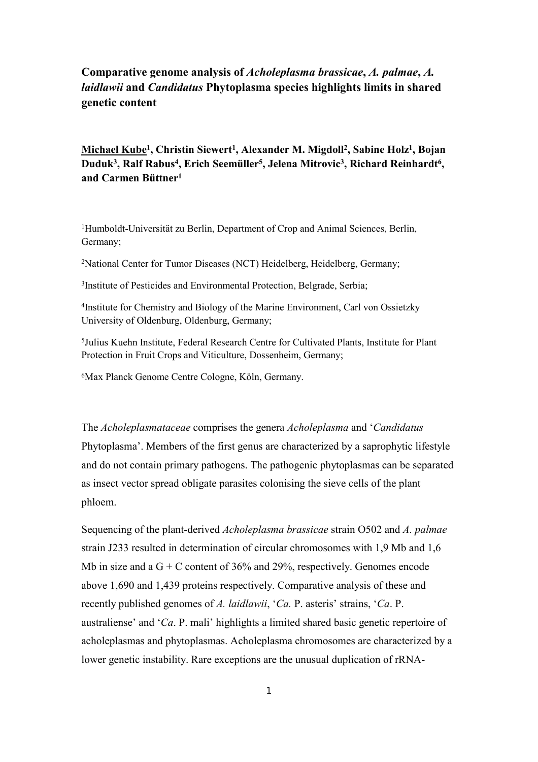## **Comparative genome analysis of** *Acholeplasma brassicae***,** *A. palmae***,** *A. laidlawii* **and** *Candidatus* **Phytoplasma species highlights limits in shared genetic content**

**Michael Kube<sup>1</sup> , Christin Siewert<sup>1</sup> , Alexander M. Migdoll<sup>2</sup> , Sabine Holz<sup>1</sup> , Bojan Duduk<sup>3</sup> , Ralf Rabus<sup>4</sup> , Erich Seemüller<sup>5</sup> , Jelena Mitrovic<sup>3</sup> , Richard Reinhardt<sup>6</sup> , and Carmen Büttner<sup>1</sup>**

<sup>1</sup>Humboldt-Universität zu Berlin, Department of Crop and Animal Sciences, Berlin, Germany;

<sup>2</sup>National Center for Tumor Diseases (NCT) Heidelberg, Heidelberg, Germany;

3 Institute of Pesticides and Environmental Protection, Belgrade, Serbia;

4 Institute for Chemistry and Biology of the Marine Environment, Carl von Ossietzky University of Oldenburg, Oldenburg, Germany;

5 Julius Kuehn Institute, Federal Research Centre for Cultivated Plants, Institute for Plant Protection in Fruit Crops and Viticulture, Dossenheim, Germany;

<sup>6</sup>Max Planck Genome Centre Cologne, Köln, Germany.

The *Acholeplasmataceae* comprises the genera *Acholeplasma* and '*Candidatus* Phytoplasma'. Members of the first genus are characterized by a saprophytic lifestyle and do not contain primary pathogens. The pathogenic phytoplasmas can be separated as insect vector spread obligate parasites colonising the sieve cells of the plant phloem.

Sequencing of the plant-derived *Acholeplasma brassicae* strain O502 and *A. palmae* strain J233 resulted in determination of circular chromosomes with 1,9 Mb and 1,6 Mb in size and a  $G + C$  content of 36% and 29%, respectively. Genomes encode above 1,690 and 1,439 proteins respectively. Comparative analysis of these and recently published genomes of *A. laidlawii*, '*Ca.* P. asteris' strains, '*Ca*. P. australiense' and '*Ca*. P. mali' highlights a limited shared basic genetic repertoire of acholeplasmas and phytoplasmas. Acholeplasma chromosomes are characterized by a lower genetic instability. Rare exceptions are the unusual duplication of rRNA-